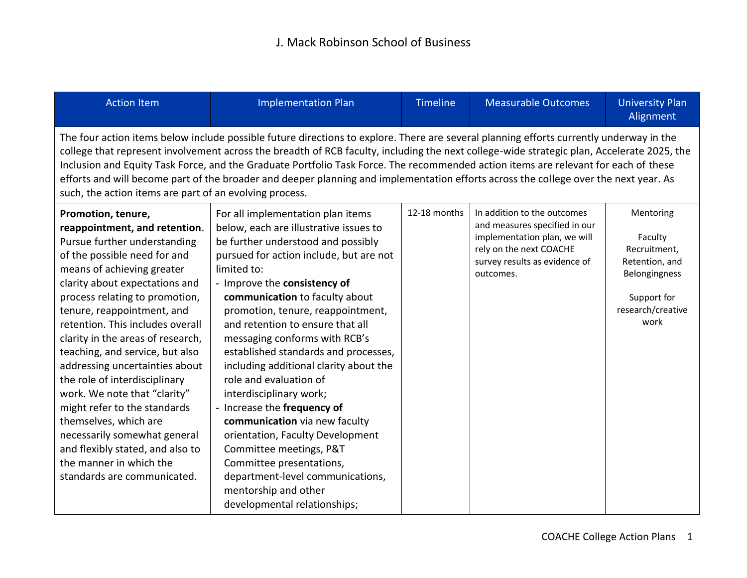## J. Mack Robinson School of Business

| <b>Action Item</b>                                                                                                                                                                                                                                                                                                                                                                                                                                                                                                                                                                                                                                        | <b>Implementation Plan</b>                                                                                                                                                                                                                                                                                                                                                                                                                                                                                                                                                                                                                                                                                                                            | <b>Timeline</b> | <b>Measurable Outcomes</b>                                                                                                                                            | <b>University Plan</b><br>Alignment                                                                                 |
|-----------------------------------------------------------------------------------------------------------------------------------------------------------------------------------------------------------------------------------------------------------------------------------------------------------------------------------------------------------------------------------------------------------------------------------------------------------------------------------------------------------------------------------------------------------------------------------------------------------------------------------------------------------|-------------------------------------------------------------------------------------------------------------------------------------------------------------------------------------------------------------------------------------------------------------------------------------------------------------------------------------------------------------------------------------------------------------------------------------------------------------------------------------------------------------------------------------------------------------------------------------------------------------------------------------------------------------------------------------------------------------------------------------------------------|-----------------|-----------------------------------------------------------------------------------------------------------------------------------------------------------------------|---------------------------------------------------------------------------------------------------------------------|
| The four action items below include possible future directions to explore. There are several planning efforts currently underway in the<br>college that represent involvement across the breadth of RCB faculty, including the next college-wide strategic plan, Accelerate 2025, the<br>Inclusion and Equity Task Force, and the Graduate Portfolio Task Force. The recommended action items are relevant for each of these<br>efforts and will become part of the broader and deeper planning and implementation efforts across the college over the next year. As<br>such, the action items are part of an evolving process.                           |                                                                                                                                                                                                                                                                                                                                                                                                                                                                                                                                                                                                                                                                                                                                                       |                 |                                                                                                                                                                       |                                                                                                                     |
| Promotion, tenure,<br>reappointment, and retention.<br>Pursue further understanding<br>of the possible need for and<br>means of achieving greater<br>clarity about expectations and<br>process relating to promotion,<br>tenure, reappointment, and<br>retention. This includes overall<br>clarity in the areas of research,<br>teaching, and service, but also<br>addressing uncertainties about<br>the role of interdisciplinary<br>work. We note that "clarity"<br>might refer to the standards<br>themselves, which are<br>necessarily somewhat general<br>and flexibly stated, and also to<br>the manner in which the<br>standards are communicated. | For all implementation plan items<br>below, each are illustrative issues to<br>be further understood and possibly<br>pursued for action include, but are not<br>limited to:<br>- Improve the consistency of<br>communication to faculty about<br>promotion, tenure, reappointment,<br>and retention to ensure that all<br>messaging conforms with RCB's<br>established standards and processes,<br>including additional clarity about the<br>role and evaluation of<br>interdisciplinary work;<br>- Increase the frequency of<br>communication via new faculty<br>orientation, Faculty Development<br>Committee meetings, P&T<br>Committee presentations,<br>department-level communications,<br>mentorship and other<br>developmental relationships; | 12-18 months    | In addition to the outcomes<br>and measures specified in our<br>implementation plan, we will<br>rely on the next COACHE<br>survey results as evidence of<br>outcomes. | Mentoring<br>Faculty<br>Recruitment,<br>Retention, and<br>Belongingness<br>Support for<br>research/creative<br>work |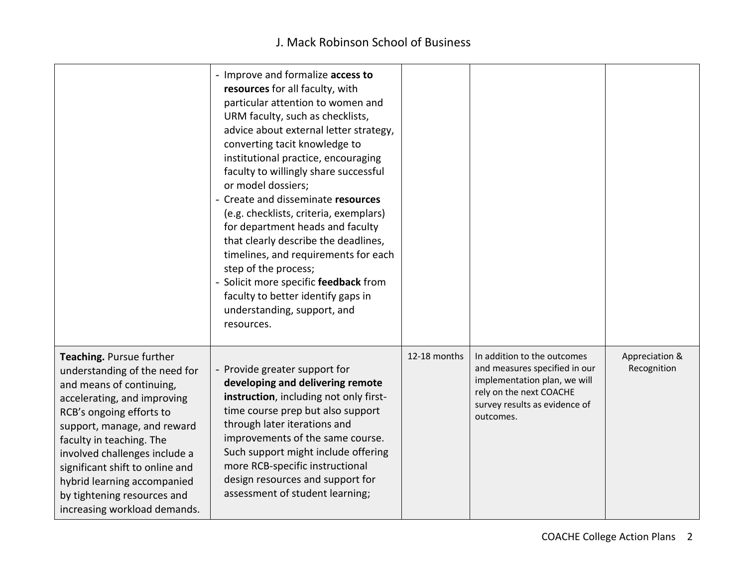## J. Mack Robinson School of Business

|                                                                                                                                                                                                                                                                                                                                                                               | - Improve and formalize access to<br>resources for all faculty, with<br>particular attention to women and<br>URM faculty, such as checklists,<br>advice about external letter strategy,<br>converting tacit knowledge to<br>institutional practice, encouraging<br>faculty to willingly share successful<br>or model dossiers;<br>- Create and disseminate resources<br>(e.g. checklists, criteria, exemplars)<br>for department heads and faculty<br>that clearly describe the deadlines,<br>timelines, and requirements for each<br>step of the process;<br>- Solicit more specific feedback from<br>faculty to better identify gaps in<br>understanding, support, and<br>resources. |              |                                                                                                                                                                       |                               |
|-------------------------------------------------------------------------------------------------------------------------------------------------------------------------------------------------------------------------------------------------------------------------------------------------------------------------------------------------------------------------------|----------------------------------------------------------------------------------------------------------------------------------------------------------------------------------------------------------------------------------------------------------------------------------------------------------------------------------------------------------------------------------------------------------------------------------------------------------------------------------------------------------------------------------------------------------------------------------------------------------------------------------------------------------------------------------------|--------------|-----------------------------------------------------------------------------------------------------------------------------------------------------------------------|-------------------------------|
| Teaching. Pursue further<br>understanding of the need for<br>and means of continuing,<br>accelerating, and improving<br>RCB's ongoing efforts to<br>support, manage, and reward<br>faculty in teaching. The<br>involved challenges include a<br>significant shift to online and<br>hybrid learning accompanied<br>by tightening resources and<br>increasing workload demands. | - Provide greater support for<br>developing and delivering remote<br>instruction, including not only first-<br>time course prep but also support<br>through later iterations and<br>improvements of the same course.<br>Such support might include offering<br>more RCB-specific instructional<br>design resources and support for<br>assessment of student learning;                                                                                                                                                                                                                                                                                                                  | 12-18 months | In addition to the outcomes<br>and measures specified in our<br>implementation plan, we will<br>rely on the next COACHE<br>survey results as evidence of<br>outcomes. | Appreciation &<br>Recognition |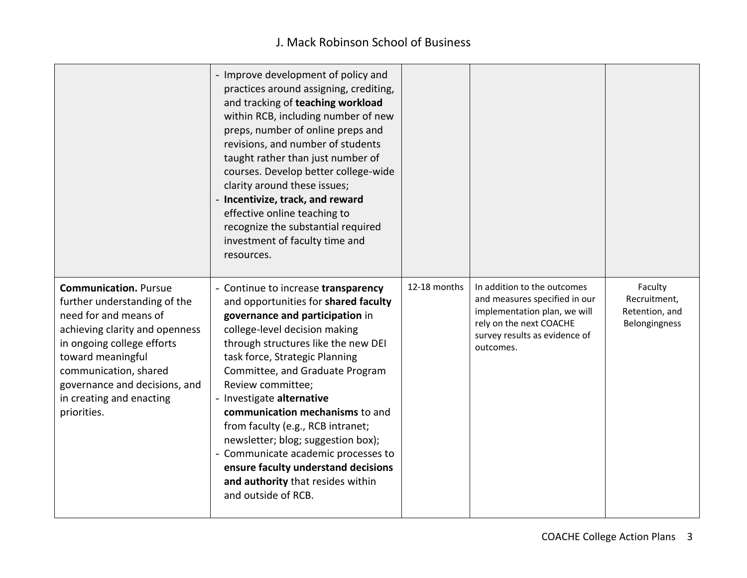## J. Mack Robinson School of Business

|                                                                                                                                                                                                                                                                                 | - Improve development of policy and<br>practices around assigning, crediting,<br>and tracking of teaching workload<br>within RCB, including number of new<br>preps, number of online preps and<br>revisions, and number of students<br>taught rather than just number of<br>courses. Develop better college-wide<br>clarity around these issues;<br>- Incentivize, track, and reward<br>effective online teaching to<br>recognize the substantial required<br>investment of faculty time and<br>resources.                                                            |              |                                                                                                                                                                       |                                                            |
|---------------------------------------------------------------------------------------------------------------------------------------------------------------------------------------------------------------------------------------------------------------------------------|-----------------------------------------------------------------------------------------------------------------------------------------------------------------------------------------------------------------------------------------------------------------------------------------------------------------------------------------------------------------------------------------------------------------------------------------------------------------------------------------------------------------------------------------------------------------------|--------------|-----------------------------------------------------------------------------------------------------------------------------------------------------------------------|------------------------------------------------------------|
| <b>Communication. Pursue</b><br>further understanding of the<br>need for and means of<br>achieving clarity and openness<br>in ongoing college efforts<br>toward meaningful<br>communication, shared<br>governance and decisions, and<br>in creating and enacting<br>priorities. | - Continue to increase transparency<br>and opportunities for shared faculty<br>governance and participation in<br>college-level decision making<br>through structures like the new DEI<br>task force, Strategic Planning<br>Committee, and Graduate Program<br>Review committee;<br>- Investigate alternative<br>communication mechanisms to and<br>from faculty (e.g., RCB intranet;<br>newsletter; blog; suggestion box);<br>- Communicate academic processes to<br>ensure faculty understand decisions<br>and authority that resides within<br>and outside of RCB. | 12-18 months | In addition to the outcomes<br>and measures specified in our<br>implementation plan, we will<br>rely on the next COACHE<br>survey results as evidence of<br>outcomes. | Faculty<br>Recruitment,<br>Retention, and<br>Belongingness |